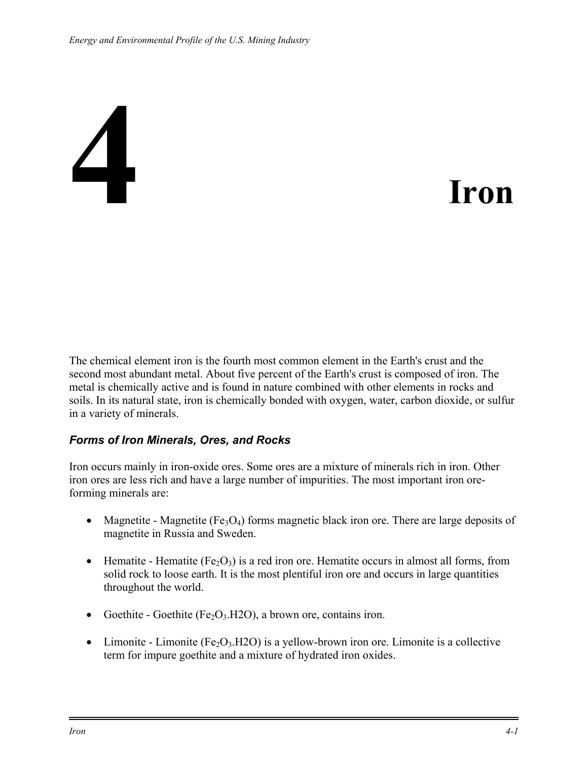# **4 Iron**

The chemical element iron is the fourth most common element in the Earth's crust and the second most abundant metal. About five percent of the Earth's crust is composed of iron. The metal is chemically active and is found in nature combined with other elements in rocks and soils. In its natural state, iron is chemically bonded with oxygen, water, carbon dioxide, or sulfur in a variety of minerals.

#### *Forms of Iron Minerals, Ores, and Rocks*

Iron occurs mainly in iron-oxide ores. Some ores are a mixture of minerals rich in iron. Other iron ores are less rich and have a large number of impurities. The most important iron oreforming minerals are:

- Magnetite Magnetite (Fe<sub>3</sub>O<sub>4</sub>) forms magnetic black iron ore. There are large deposits of magnetite in Russia and Sweden.
- Hematite Hematite (Fe<sub>2</sub>O<sub>3</sub>) is a red iron ore. Hematite occurs in almost all forms, from solid rock to loose earth. It is the most plentiful iron ore and occurs in large quantities throughout the world.
- Goethite Goethite (Fe<sub>2</sub>O<sub>3</sub>.H<sub>2O</sub>), a brown ore, contains iron.
- Limonite Limonite (Fe<sub>2</sub>O<sub>3</sub>.H2O) is a yellow-brown iron ore. Limonite is a collective term for impure goethite and a mixture of hydrated iron oxides.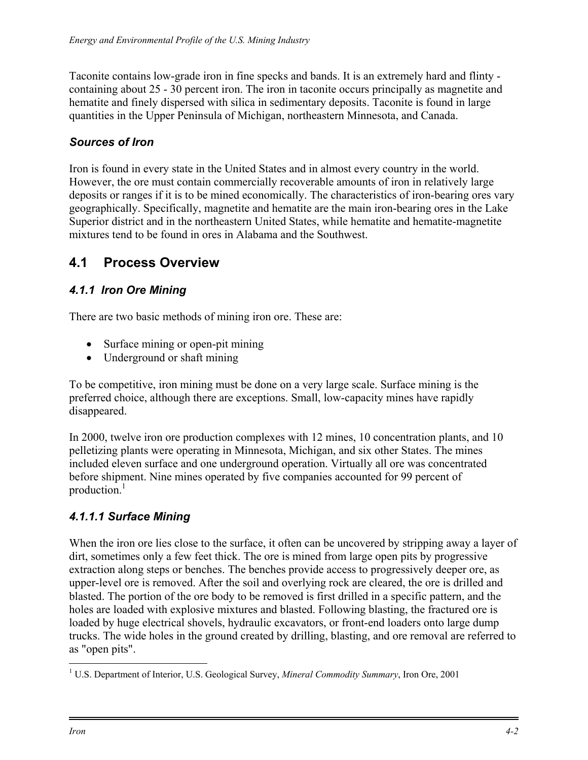Taconite contains low-grade iron in fine specks and bands. It is an extremely hard and flinty containing about 25 - 30 percent iron. The iron in taconite occurs principally as magnetite and hematite and finely dispersed with silica in sedimentary deposits. Taconite is found in large quantities in the Upper Peninsula of Michigan, northeastern Minnesota, and Canada.

### *Sources of Iron*

Iron is found in every state in the United States and in almost every country in the world. However, the ore must contain commercially recoverable amounts of iron in relatively large deposits or ranges if it is to be mined economically. The characteristics of iron-bearing ores vary geographically. Specifically, magnetite and hematite are the main iron-bearing ores in the Lake Superior district and in the northeastern United States, while hematite and hematite-magnetite mixtures tend to be found in ores in Alabama and the Southwest.

# **4.1 Process Overview**

### *4.1.1 Iron Ore Mining*

There are two basic methods of mining iron ore. These are:

- Surface mining or open-pit mining
- Underground or shaft mining

To be competitive, iron mining must be done on a very large scale. Surface mining is the preferred choice, although there are exceptions. Small, low-capacity mines have rapidly disappeared.

In 2000, twelve iron ore production complexes with 12 mines, 10 concentration plants, and 10 pelletizing plants were operating in Minnesota, Michigan, and six other States. The mines included eleven surface and one underground operation. Virtually all ore was concentrated before shipment. Nine mines operated by five companies accounted for 99 percent of production.<sup>1</sup>

### *4.1.1.1 Surface Mining*

When the iron ore lies close to the surface, it often can be uncovered by stripping away a layer of dirt, sometimes only a few feet thick. The ore is mined from large open pits by progressive extraction along steps or benches. The benches provide access to progressively deeper ore, as upper-level ore is removed. After the soil and overlying rock are cleared, the ore is drilled and blasted. The portion of the ore body to be removed is first drilled in a specific pattern, and the holes are loaded with explosive mixtures and blasted. Following blasting, the fractured ore is loaded by huge electrical shovels, hydraulic excavators, or front-end loaders onto large dump trucks. The wide holes in the ground created by drilling, blasting, and ore removal are referred to as "open pits".

<span id="page-1-0"></span><sup>1</sup> <sup>1</sup> U.S. Department of Interior, U.S. Geological Survey, *Mineral Commodity Summary*, Iron Ore, 2001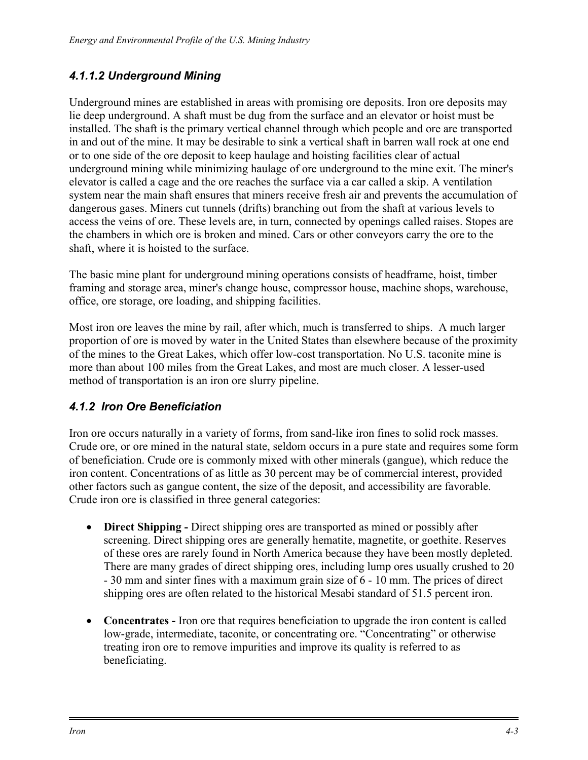#### *4.1.1.2 Underground Mining*

Underground mines are established in areas with promising ore deposits. Iron ore deposits may lie deep underground. A shaft must be dug from the surface and an elevator or hoist must be installed. The shaft is the primary vertical channel through which people and ore are transported in and out of the mine. It may be desirable to sink a vertical shaft in barren wall rock at one end or to one side of the ore deposit to keep haulage and hoisting facilities clear of actual underground mining while minimizing haulage of ore underground to the mine exit. The miner's elevator is called a cage and the ore reaches the surface via a car called a skip. A ventilation system near the main shaft ensures that miners receive fresh air and prevents the accumulation of dangerous gases. Miners cut tunnels (drifts) branching out from the shaft at various levels to access the veins of ore. These levels are, in turn, connected by openings called raises. Stopes are the chambers in which ore is broken and mined. Cars or other conveyors carry the ore to the shaft, where it is hoisted to the surface.

The basic mine plant for underground mining operations consists of headframe, hoist, timber framing and storage area, miner's change house, compressor house, machine shops, warehouse, office, ore storage, ore loading, and shipping facilities.

Most iron ore leaves the mine by rail, after which, much is transferred to ships. A much larger proportion of ore is moved by water in the United States than elsewhere because of the proximity of the mines to the Great Lakes, which offer low-cost transportation. No U.S. taconite mine is more than about 100 miles from the Great Lakes, and most are much closer. A lesser-used method of transportation is an iron ore slurry pipeline.

### *4.1.2 Iron Ore Beneficiation*

Iron ore occurs naturally in a variety of forms, from sand-like iron fines to solid rock masses. Crude ore, or ore mined in the natural state, seldom occurs in a pure state and requires some form of beneficiation. Crude ore is commonly mixed with other minerals (gangue), which reduce the iron content. Concentrations of as little as 30 percent may be of commercial interest, provided other factors such as gangue content, the size of the deposit, and accessibility are favorable. Crude iron ore is classified in three general categories:

- **Direct Shipping -** Direct shipping ores are transported as mined or possibly after screening. Direct shipping ores are generally hematite, magnetite, or goethite. Reserves of these ores are rarely found in North America because they have been mostly depleted. There are many grades of direct shipping ores, including lump ores usually crushed to 20 - 30 mm and sinter fines with a maximum grain size of 6 - 10 mm. The prices of direct shipping ores are often related to the historical Mesabi standard of 51.5 percent iron.
- **Concentrates** Iron ore that requires beneficiation to upgrade the iron content is called low-grade, intermediate, taconite, or concentrating ore. "Concentrating" or otherwise treating iron ore to remove impurities and improve its quality is referred to as beneficiating.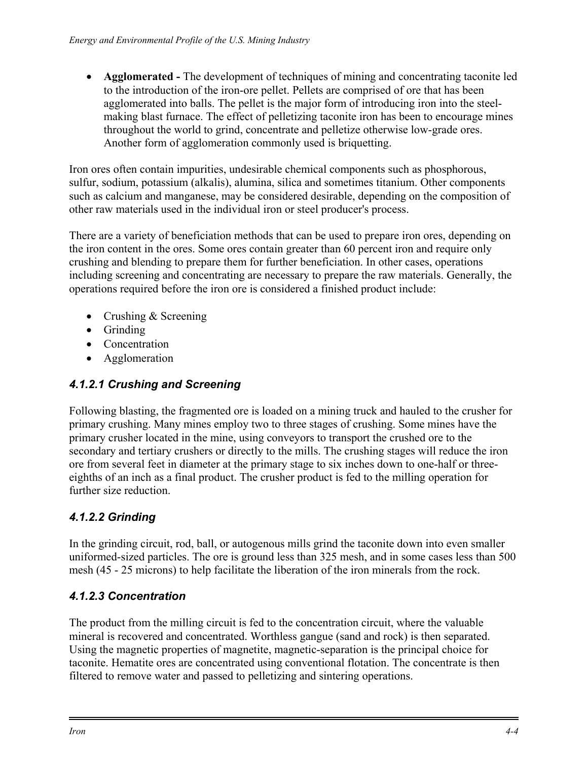• **Agglomerated -** The development of techniques of mining and concentrating taconite led to the introduction of the iron-ore pellet. Pellets are comprised of ore that has been agglomerated into balls. The pellet is the major form of introducing iron into the steelmaking blast furnace. The effect of pelletizing taconite iron has been to encourage mines throughout the world to grind, concentrate and pelletize otherwise low-grade ores. Another form of agglomeration commonly used is briquetting.

Iron ores often contain impurities, undesirable chemical components such as phosphorous, sulfur, sodium, potassium (alkalis), alumina, silica and sometimes titanium. Other components such as calcium and manganese, may be considered desirable, depending on the composition of other raw materials used in the individual iron or steel producer's process.

There are a variety of beneficiation methods that can be used to prepare iron ores, depending on the iron content in the ores. Some ores contain greater than 60 percent iron and require only crushing and blending to prepare them for further beneficiation. In other cases, operations including screening and concentrating are necessary to prepare the raw materials. Generally, the operations required before the iron ore is considered a finished product include:

- Crushing & Screening
- Grinding
- Concentration
- Agglomeration

# *4.1.2.1 Crushing and Screening*

Following blasting, the fragmented ore is loaded on a mining truck and hauled to the crusher for primary crushing. Many mines employ two to three stages of crushing. Some mines have the primary crusher located in the mine, using conveyors to transport the crushed ore to the secondary and tertiary crushers or directly to the mills. The crushing stages will reduce the iron ore from several feet in diameter at the primary stage to six inches down to one-half or threeeighths of an inch as a final product. The crusher product is fed to the milling operation for further size reduction.

# *4.1.2.2 Grinding*

In the grinding circuit, rod, ball, or autogenous mills grind the taconite down into even smaller uniformed-sized particles. The ore is ground less than 325 mesh, and in some cases less than 500 mesh (45 - 25 microns) to help facilitate the liberation of the iron minerals from the rock.

# *4.1.2.3 Concentration*

The product from the milling circuit is fed to the concentration circuit, where the valuable mineral is recovered and concentrated. Worthless gangue (sand and rock) is then separated. Using the magnetic properties of magnetite, magnetic-separation is the principal choice for taconite. Hematite ores are concentrated using conventional flotation. The concentrate is then filtered to remove water and passed to pelletizing and sintering operations.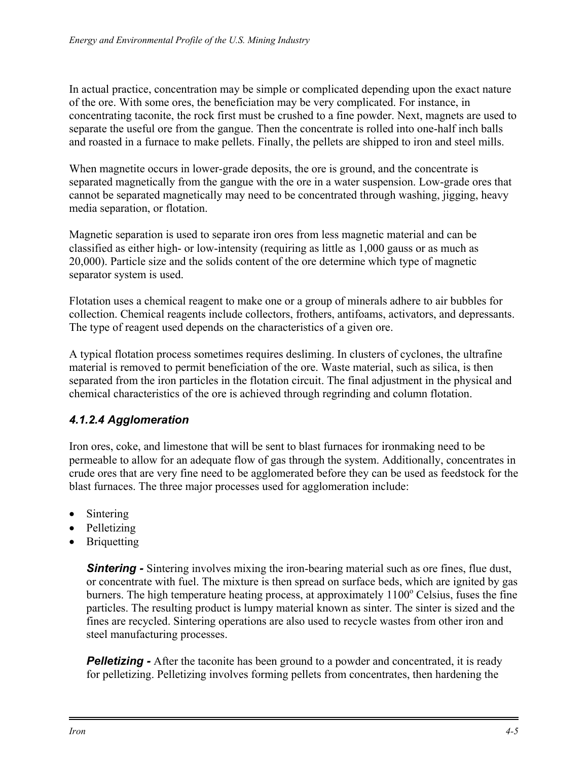In actual practice, concentration may be simple or complicated depending upon the exact nature of the ore. With some ores, the beneficiation may be very complicated. For instance, in concentrating taconite, the rock first must be crushed to a fine powder. Next, magnets are used to separate the useful ore from the gangue. Then the concentrate is rolled into one-half inch balls and roasted in a furnace to make pellets. Finally, the pellets are shipped to iron and steel mills.

When magnetite occurs in lower-grade deposits, the ore is ground, and the concentrate is separated magnetically from the gangue with the ore in a water suspension. Low-grade ores that cannot be separated magnetically may need to be concentrated through washing, jigging, heavy media separation, or flotation.

Magnetic separation is used to separate iron ores from less magnetic material and can be classified as either high- or low-intensity (requiring as little as 1,000 gauss or as much as 20,000). Particle size and the solids content of the ore determine which type of magnetic separator system is used.

Flotation uses a chemical reagent to make one or a group of minerals adhere to air bubbles for collection. Chemical reagents include collectors, frothers, antifoams, activators, and depressants. The type of reagent used depends on the characteristics of a given ore.

A typical flotation process sometimes requires desliming. In clusters of cyclones, the ultrafine material is removed to permit beneficiation of the ore. Waste material, such as silica, is then separated from the iron particles in the flotation circuit. The final adjustment in the physical and chemical characteristics of the ore is achieved through regrinding and column flotation.

#### *4.1.2.4 Agglomeration*

Iron ores, coke, and limestone that will be sent to blast furnaces for ironmaking need to be permeable to allow for an adequate flow of gas through the system. Additionally, concentrates in crude ores that are very fine need to be agglomerated before they can be used as feedstock for the blast furnaces. The three major processes used for agglomeration include:

- Sintering
- Pelletizing
- Briquetting

**Sintering -** Sintering involves mixing the iron-bearing material such as ore fines, flue dust, or concentrate with fuel. The mixture is then spread on surface beds, which are ignited by gas burners. The high temperature heating process, at approximately  $1100^{\circ}$  Celsius, fuses the fine particles. The resulting product is lumpy material known as sinter. The sinter is sized and the fines are recycled. Sintering operations are also used to recycle wastes from other iron and steel manufacturing processes.

**Pelletizing -** After the taconite has been ground to a powder and concentrated, it is ready for pelletizing. Pelletizing involves forming pellets from concentrates, then hardening the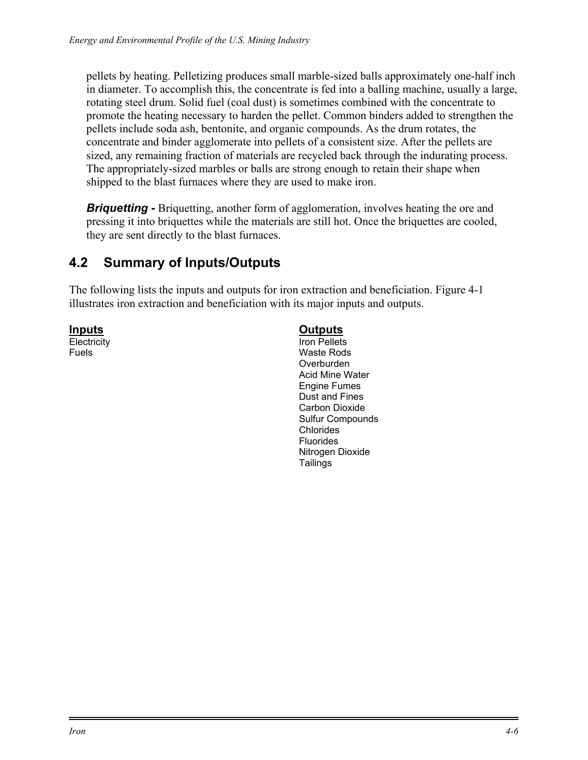pellets by heating. Pelletizing produces small marble-sized balls approximately one-half inch in diameter. To accomplish this, the concentrate is fed into a balling machine, usually a large, rotating steel drum. Solid fuel (coal dust) is sometimes combined with the concentrate to promote the heating necessary to harden the pellet. Common binders added to strengthen the pellets include soda ash, bentonite, and organic compounds. As the drum rotates, the concentrate and binder agglomerate into pellets of a consistent size. After the pellets are sized, any remaining fraction of materials are recycled back through the indurating process. The appropriately-sized marbles or balls are strong enough to retain their shape when shipped to the blast furnaces where they are used to make iron.

*Briquetting - Briquetting, another form of agglomeration, involves heating the ore and* pressing it into briquettes while the materials are still hot. Once the briquettes are cooled, they are sent directly to the blast furnaces.

# **4.2 Summary of Inputs/Outputs**

The following lists the inputs and outputs for iron extraction and beneficiation. Figure 4-1 illustrates iron extraction and beneficiation with its major inputs and outputs.

**Inputs**

**Electricity** Fuels

#### **Outputs**

Iron Pellets Waste Rods Overburden Acid Mine Water Engine Fumes Dust and Fines Carbon Dioxide Sulfur Compounds Chlorides Fluorides Nitrogen Dioxide Tailings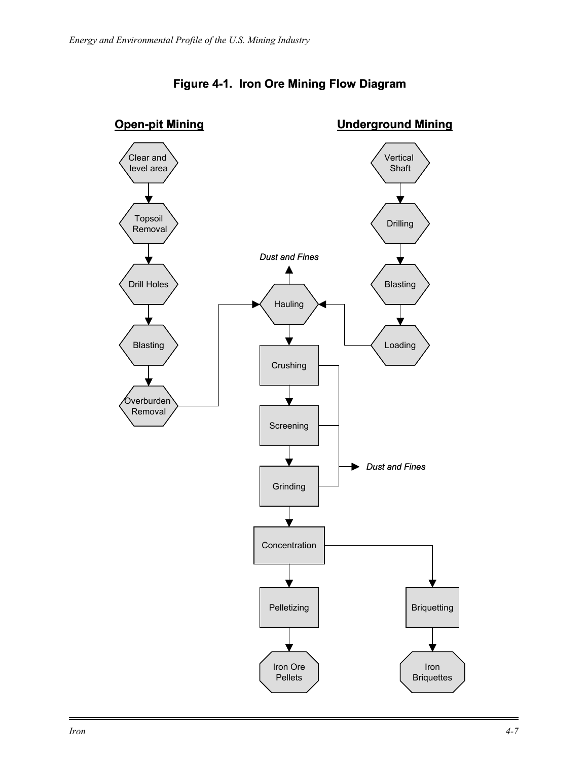

### **Figure 4-1. Iron Ore Mining Flow Diagram**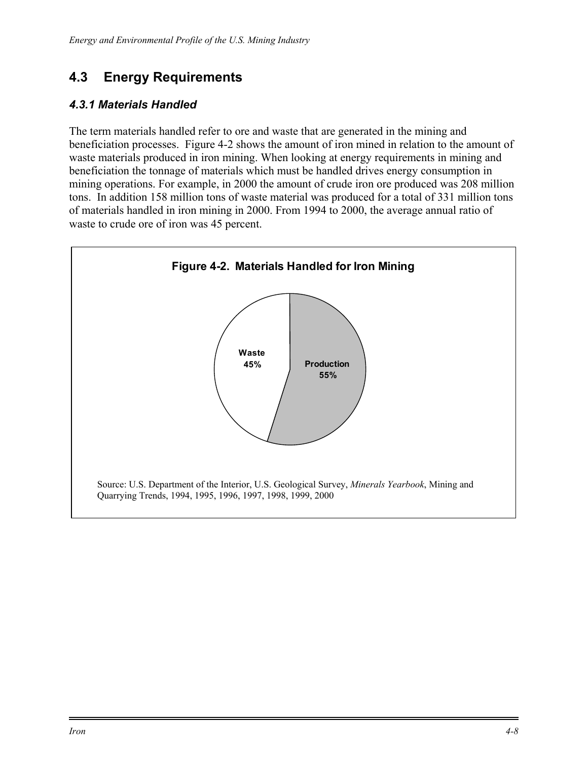# **4.3 Energy Requirements**

#### *4.3.1 Materials Handled*

The term materials handled refer to ore and waste that are generated in the mining and beneficiation processes. Figure 4-2 shows the amount of iron mined in relation to the amount of waste materials produced in iron mining. When looking at energy requirements in mining and beneficiation the tonnage of materials which must be handled drives energy consumption in mining operations. For example, in 2000 the amount of crude iron ore produced was 208 million tons. In addition 158 million tons of waste material was produced for a total of 331 million tons of materials handled in iron mining in 2000. From 1994 to 2000, the average annual ratio of waste to crude ore of iron was 45 percent.

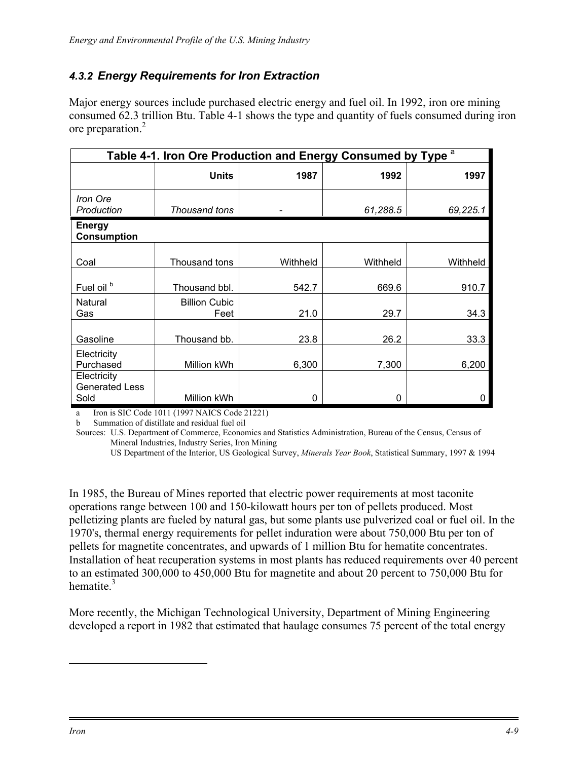#### <span id="page-8-1"></span>*4.3.2 Energy Requirements for Iron Extraction*

Major energy sources include purchased electric energy and fuel oil. In 1992, iron ore mining consumed 62.3 trillion Btu. Table 4-1 shows the type and quantity of fuels consumed during iron ore preparation.[2](#page-8-0)

| Table 4-1. Iron Ore Production and Energy Consumed by Type <sup>a</sup> |                              |          |          |          |  |  |  |
|-------------------------------------------------------------------------|------------------------------|----------|----------|----------|--|--|--|
|                                                                         | <b>Units</b>                 | 1987     | 1992     | 1997     |  |  |  |
| Iron Ore<br>Production                                                  | Thousand tons                |          | 61,288.5 | 69,225.1 |  |  |  |
| <b>Energy</b><br><b>Consumption</b>                                     |                              |          |          |          |  |  |  |
| Coal                                                                    | Thousand tons                | Withheld | Withheld | Withheld |  |  |  |
| Fuel oil <sup>b</sup>                                                   | Thousand bbl.                | 542.7    | 669.6    | 910.7    |  |  |  |
| Natural<br>Gas                                                          | <b>Billion Cubic</b><br>Feet | 21.0     | 29.7     | 34.3     |  |  |  |
| Gasoline                                                                | Thousand bb.                 | 23.8     | 26.2     | 33.3     |  |  |  |
| Electricity<br>Purchased                                                | Million kWh                  | 6,300    | 7,300    | 6,200    |  |  |  |
| Electricity<br><b>Generated Less</b><br>Sold                            | Million kWh                  | 0        | 0        | 0        |  |  |  |

a Iron is SIC Code 1011 (1997 NAICS Code 21221)

b Summation of distillate and residual fuel oil

Sources: U.S. Department of Commerce, Economics and Statistics Administration, Bureau of the Census, Census of Mineral Industries, Industry Series, Iron Mining

US Department of the Interior, US Geological Survey, *Minerals Year Book*, Statistical Summary, 1997 & 1994

In 1985, the Bureau of Mines reported that electric power requirements at most taconite operations range between 100 and 150-kilowatt hours per ton of pellets produced. Most pelletizing plants are fueled by natural gas, but some plants use pulverized coal or fuel oil. In the 1970's, thermal energy requirements for pellet induration were about 750,000 Btu per ton of pellets for magnetite concentrates, and upwards of 1 million Btu for hematite concentrates. Installation of heat recuperation systems in most plants has reduced requirements over 40 percent to an estimated 300,000 to 450,000 Btu for magnetite and about 20 percent to 750,000 Btu for hematite. $3$ 

More recently, the Michigan Technological University, Department of Mining Engineering developed a report in 1982 that estimated that haulage consumes 75 percent of the total energy

<span id="page-8-0"></span>1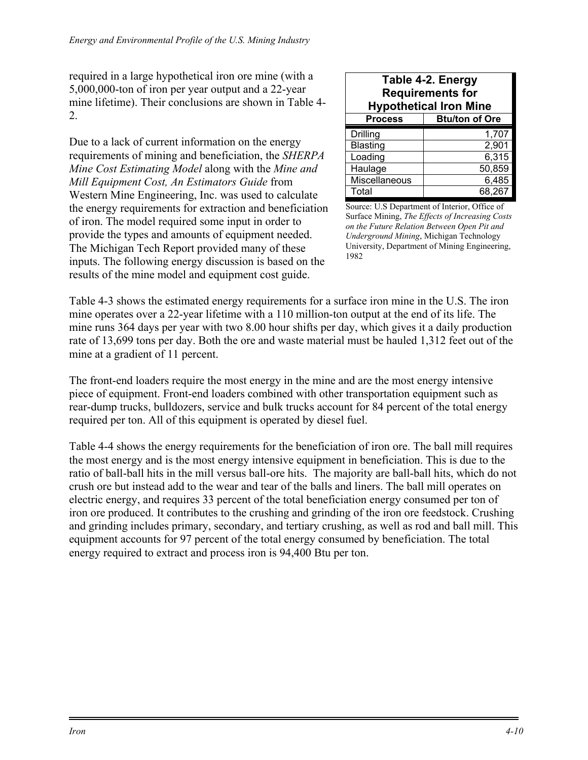required in a large hypothetical iron ore mine (with a 5,000,000-ton of iron per year output and a 22-year mine lifetime). Their conclusions are shown in Table 4- 2.

Due to a lack of current information on the energy requirements of mining and beneficiation, the *SHERPA Mine Cost Estimating Model* along with the *Mine and Mill Equipment Cost, An Estimators Guide* from Western Mine Engineering, Inc. was used to calculate the energy requirements for extraction and beneficiation of iron. The model required some input in order to provide the types and amounts of equipment needed. The Michigan Tech Report provided many of these inputs. The following energy discussion is based on the results of the mine model and equipment cost guide.

| Table 4-2. Energy<br><b>Requirements for</b><br><b>Hypothetical Iron Mine</b> |                       |  |  |  |
|-------------------------------------------------------------------------------|-----------------------|--|--|--|
| <b>Process</b>                                                                | <b>Btu/ton of Ore</b> |  |  |  |
| Drilling                                                                      | 1,707                 |  |  |  |
| <b>Blasting</b>                                                               | 2,901                 |  |  |  |
| Loading                                                                       | 6,315                 |  |  |  |
| Haulage                                                                       | 50,859                |  |  |  |
| Miscellaneous                                                                 | 6,485                 |  |  |  |
| Total                                                                         | 68,267                |  |  |  |

Source: U.S Department of Interior, Office of Surface Mining, *The Effects of Increasing Costs on the Future Relation Between Open Pit and Underground Mining*, Michigan Technology University, Department of Mining Engineering, 1982

Table 4-3 shows the estimated energy requirements for a surface iron mine in the U.S. The iron mine operates over a 22-year lifetime with a 110 million-ton output at the end of its life. The mine runs 364 days per year with two 8.00 hour shifts per day, which gives it a daily production rate of 13,699 tons per day. Both the ore and waste material must be hauled 1,312 feet out of the mine at a gradient of 11 percent.

The front-end loaders require the most energy in the mine and are the most energy intensive piece of equipment. Front-end loaders combined with other transportation equipment such as rear-dump trucks, bulldozers, service and bulk trucks account for 84 percent of the total energy required per ton. All of this equipment is operated by diesel fuel.

Table 4-4 shows the energy requirements for the beneficiation of iron ore. The ball mill requires the most energy and is the most energy intensive equipment in beneficiation. This is due to the ratio of ball-ball hits in the mill versus ball-ore hits. The majority are ball-ball hits, which do not crush ore but instead add to the wear and tear of the balls and liners. The ball mill operates on electric energy, and requires 33 percent of the total beneficiation energy consumed per ton of iron ore produced. It contributes to the crushing and grinding of the iron ore feedstock. Crushing and grinding includes primary, secondary, and tertiary crushing, as well as rod and ball mill. This equipment accounts for 97 percent of the total energy consumed by beneficiation. The total energy required to extract and process iron is 94,400 Btu per ton.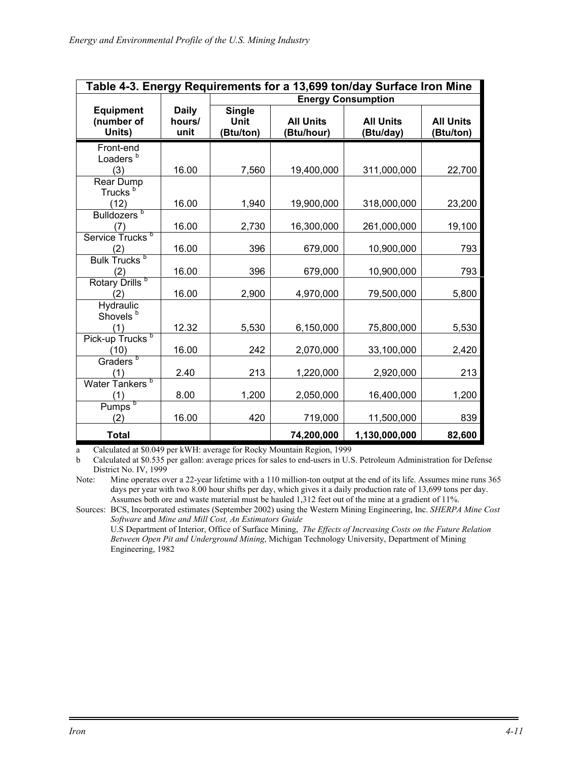|                                          | Table 4-3. Energy Requirements for a 13,699 ton/day Surface Iron Mine |                                           |                                |                               |                               |  |
|------------------------------------------|-----------------------------------------------------------------------|-------------------------------------------|--------------------------------|-------------------------------|-------------------------------|--|
|                                          |                                                                       | <b>Energy Consumption</b>                 |                                |                               |                               |  |
| <b>Equipment</b><br>(number of<br>Units) | <b>Daily</b><br>hours/<br>unit                                        | <b>Single</b><br><b>Unit</b><br>(Btu/ton) | <b>All Units</b><br>(Btu/hour) | <b>All Units</b><br>(Btu/day) | <b>All Units</b><br>(Btu/ton) |  |
| Front-end<br>Loaders <sup>b</sup><br>(3) | 16.00                                                                 | 7,560                                     | 19,400,000                     | 311,000,000                   | 22,700                        |  |
| Rear Dump<br>Trucks <sup>b</sup>         |                                                                       |                                           |                                |                               |                               |  |
| (12)                                     | 16.00                                                                 | 1,940                                     | 19,900,000                     | 318,000,000                   | 23,200                        |  |
| Bulldozers <sup>b</sup><br>(7)           | 16.00                                                                 | 2,730                                     | 16,300,000                     | 261,000,000                   | 19,100                        |  |
| Service Trucks <sup>b</sup><br>(2)       | 16.00                                                                 | 396                                       | 679,000                        | 10,900,000                    | 793                           |  |
| Bulk Trucks <sup>b</sup><br>(2)          | 16.00                                                                 | 396                                       | 679,000                        | 10,900,000                    | 793                           |  |
| Rotary Drills <sup>b</sup><br>(2)        | 16.00                                                                 | 2,900                                     | 4,970,000                      | 79,500,000                    | 5,800                         |  |
| Hydraulic<br>Shovels <sup>b</sup>        |                                                                       |                                           |                                |                               |                               |  |
| (1)                                      | 12.32                                                                 | 5,530                                     | 6,150,000                      | 75,800,000                    | 5,530                         |  |
| Pick-up Trucks <sup>b</sup><br>(10)      | 16.00                                                                 | 242                                       | 2,070,000                      | 33,100,000                    | 2,420                         |  |
| Graders <sup>b</sup><br>(1)              | 2.40                                                                  | 213                                       | 1,220,000                      | 2,920,000                     | 213                           |  |
| <b>Water Tankers</b><br>þ<br>(1)         | 8.00                                                                  | 1,200                                     | 2,050,000                      | 16,400,000                    | 1,200                         |  |
| $P$ umps $\frac{b}{c}$<br>(2)            | 16.00                                                                 | 420                                       | 719,000                        | 11,500,000                    | 839                           |  |
| <b>Total</b>                             |                                                                       |                                           | 74,200,000                     | 1,130,000,000                 | 82,600                        |  |

a Calculated at \$0.049 per kWH: average for Rocky Mountain Region, 1999

b Calculated at \$0.535 per gallon: average prices for sales to end-users in U.S. Petroleum Administration for Defense District No. IV, 1999

Note: Mine operates over a 22-year lifetime with a 110 million-ton output at the end of its life. Assumes mine runs 365 days per year with two 8.00 hour shifts per day, which gives it a daily production rate of 13,699 tons per day. Assumes both ore and waste material must be hauled 1,312 feet out of the mine at a gradient of 11%.

Sources: BCS, Incorporated estimates (September 2002) using the Western Mining Engineering, Inc. *SHERPA Mine Cost Software* and *Mine and Mill Cost, An Estimators Guide*

U.S Department of Interior, Office of Surface Mining, *The Effects of Increasing Costs on the Future Relation Between Open Pit and Underground Mining*, Michigan Technology University, Department of Mining Engineering, 1982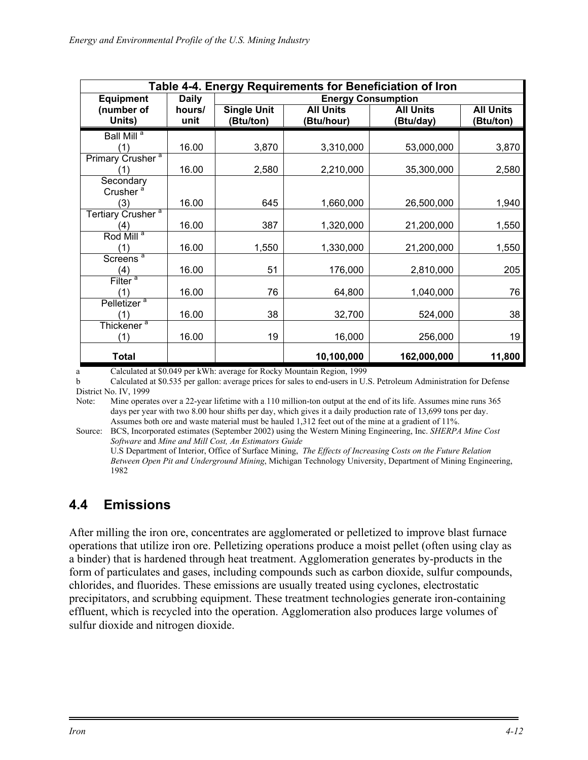| Table 4-4. Energy Requirements for Beneficiation of Iron |              |                           |                  |                  |                  |  |
|----------------------------------------------------------|--------------|---------------------------|------------------|------------------|------------------|--|
| <b>Equipment</b>                                         | <b>Daily</b> | <b>Energy Consumption</b> |                  |                  |                  |  |
| (number of                                               | hours/       | <b>Single Unit</b>        | <b>All Units</b> | <b>All Units</b> | <b>All Units</b> |  |
| Units)                                                   | unit         | (Btu/ton)                 | (Btu/hour)       | (Btu/day)        | (Btu/ton)        |  |
| Ball Mill <sup>a</sup>                                   |              |                           |                  |                  |                  |  |
| (1)                                                      | 16.00        | 3,870                     | 3,310,000        | 53,000,000       | 3,870            |  |
| Primary Crusher <sup>a</sup>                             |              |                           |                  |                  |                  |  |
| (1)                                                      | 16.00        | 2,580                     | 2,210,000        | 35,300,000       | 2,580            |  |
| Secondary                                                |              |                           |                  |                  |                  |  |
| Crusher <sup>a</sup>                                     |              |                           |                  |                  |                  |  |
| (3)                                                      | 16.00        | 645                       | 1,660,000        | 26,500,000       | 1,940            |  |
| Tertiary Crusher <sup>a</sup>                            |              |                           |                  |                  |                  |  |
| (4)                                                      | 16.00        | 387                       | 1,320,000        | 21,200,000       | 1,550            |  |
| Rod Mill <sup>a</sup>                                    |              |                           |                  |                  |                  |  |
| (1)                                                      | 16.00        | 1,550                     | 1,330,000        | 21,200,000       | 1,550            |  |
| Screens <sup>a</sup>                                     |              |                           |                  |                  |                  |  |
| (4)                                                      | 16.00        | 51                        | 176,000          | 2,810,000        | 205              |  |
| Filter <sup>a</sup>                                      |              |                           |                  |                  |                  |  |
| (1)                                                      | 16.00        | 76                        | 64,800           | 1,040,000        | 76               |  |
| Pelletizer <sup>a</sup>                                  |              |                           |                  |                  |                  |  |
|                                                          | 16.00        | 38                        | 32,700           | 524,000          | 38               |  |
| Thickener <sup>a</sup>                                   |              |                           |                  |                  |                  |  |
| (1)                                                      | 16.00        | 19                        | 16,000           | 256,000          | 19               |  |
| <b>Total</b>                                             |              |                           | 10,100,000       | 162,000,000      | 11,800           |  |

a Calculated at \$0.049 per kWh: average for Rocky Mountain Region, 1999

b Calculated at \$0.535 per gallon: average prices for sales to end-users in U.S. Petroleum Administration for Defense District No. IV, 1999

Note: Mine operates over a 22-year lifetime with a 110 million-ton output at the end of its life. Assumes mine runs 365 days per year with two 8.00 hour shifts per day, which gives it a daily production rate of 13,699 tons per day. Assumes both ore and waste material must be hauled 1,312 feet out of the mine at a gradient of 11%.

Source: BCS, Incorporated estimates (September 2002) using the Western Mining Engineering, Inc. *SHERPA Mine Cost Software* and *Mine and Mill Cost, An Estimators Guide*

U.S Department of Interior, Office of Surface Mining, *The Effects of Increasing Costs on the Future Relation Between Open Pit and Underground Mining*, Michigan Technology University, Department of Mining Engineering, 1982

# **4.4 Emissions**

After milling the iron ore, concentrates are agglomerated or pelletized to improve blast furnace operations that utilize iron ore. Pelletizing operations produce a moist pellet (often using clay as a binder) that is hardened through heat treatment. Agglomeration generates by-products in the form of particulates and gases, including compounds such as carbon dioxide, sulfur compounds, chlorides, and fluorides. These emissions are usually treated using cyclones, electrostatic precipitators, and scrubbing equipment. These treatment technologies generate iron-containing effluent, which is recycled into the operation. Agglomeration also produces large volumes of sulfur dioxide and nitrogen dioxide.